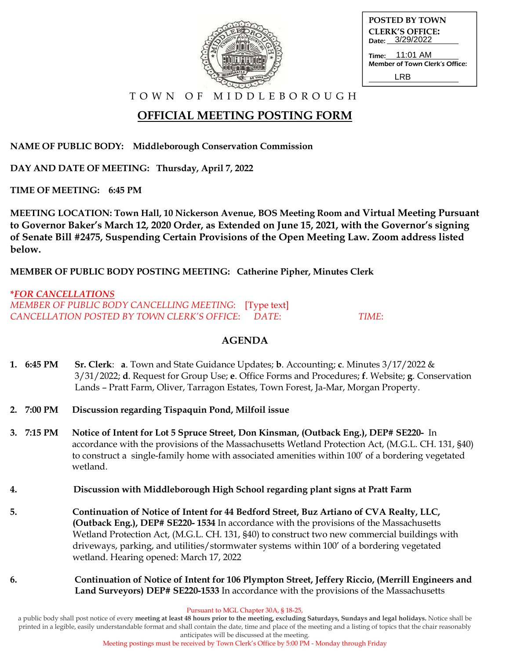| ≈    |  |
|------|--|
| navo |  |

| <b>POSTED BY TOWN</b>                            |
|--------------------------------------------------|
| <b>CLERK'S OFFICE:</b><br>Date: 3/29/2022        |
| Time: 11:01 AM<br>Member of Town Clerk's Office: |
| I RR                                             |

T O W N O F M I D D L E B O R O U G H

# **OFFICIAL MEETING POSTING FORM**

**NAME OF PUBLIC BODY: Middleborough Conservation Commission**

**DAY AND DATE OF MEETING: Thursday, April 7, 2022**

**TIME OF MEETING: 6:45 PM**

**MEETING LOCATION: Town Hall, 10 Nickerson Avenue, BOS Meeting Room and Virtual Meeting Pursuant to Governor Baker's March 12, 2020 Order, as Extended on June 15, 2021, with the Governor's signing of Senate Bill #2475, Suspending Certain Provisions of the Open Meeting Law. Zoom address listed below.**

**MEMBER OF PUBLIC BODY POSTING MEETING: Catherine Pipher, Minutes Clerk**

**\****FOR CANCELLATIONS MEMBER OF PUBLIC BODY CANCELLING MEETING*: [Type text] *CANCELLATION POSTED BY TOWN CLERK'S OFFICE*: *DATE*: *TIME*:

### **AGENDA**

- **1. 6:45 PM Sr. Clerk**: **a**. Town and State Guidance Updates; **b**. Accounting; **c**. Minutes 3/17/2022 & 3/31/2022; **d**. Request for Group Use; **e**. Office Forms and Procedures; **f**. Website; **g**. Conservation Lands – Pratt Farm, Oliver, Tarragon Estates, Town Forest, Ja-Mar, Morgan Property.
- **2. 7:00 PM Discussion regarding Tispaquin Pond, Milfoil issue**
- **3. 7:15 PM Notice of Intent for Lot 5 Spruce Street, Don Kinsman, (Outback Eng.), DEP# SE220-** In accordance with the provisions of the Massachusetts Wetland Protection Act, (M.G.L. CH. 131, §40) to construct a single-family home with associated amenities within 100' of a bordering vegetated wetland.
- **4. Discussion with Middleborough High School regarding plant signs at Pratt Farm**
- **5. Continuation of Notice of Intent for 44 Bedford Street, Buz Artiano of CVA Realty, LLC, (Outback Eng.), DEP# SE220- 1534** In accordance with the provisions of the Massachusetts Wetland Protection Act, (M.G.L. CH. 131, §40) to construct two new commercial buildings with driveways, parking, and utilities/stormwater systems within 100' of a bordering vegetated wetland. Hearing opened: March 17, 2022
- **6. Continuation of Notice of Intent for 106 Plympton Street, Jeffery Riccio, (Merrill Engineers and Land Surveyors) DEP# SE220-1533** In accordance with the provisions of the Massachusetts

Pursuant to MGL Chapter 30A, § 18-25,

a public body shall post notice of every **meeting at least 48 hours prior to the meeting, excluding Saturdays, Sundays and legal holidays.** Notice shall be printed in a legible, easily understandable format and shall contain the date, time and place of the meeting and a listing of topics that the chair reasonably anticipates will be discussed at the meeting.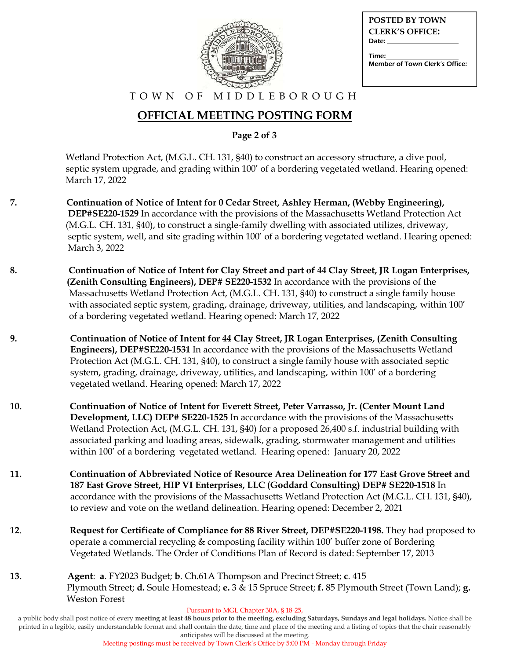| <b>CON</b>   |
|--------------|
|              |
| <b>CORPO</b> |
|              |

| <b>POSTED BY TOWN</b>                   |
|-----------------------------------------|
| <b>CLERK'S OFFICE:</b>                  |
| Date: Date:                             |
| Time:<br>Member of Town Clerk's Office: |

#### T O W N O F M I D D L E B O R O U G H

# **OFFICIAL MEETING POSTING FORM**

**Page 2 of 3**

Wetland Protection Act, (M.G.L. CH. 131, §40) to construct an accessory structure, a dive pool, septic system upgrade, and grading within 100' of a bordering vegetated wetland. Hearing opened: March 17, 2022

- **7. Continuation of Notice of Intent for 0 Cedar Street, Ashley Herman, (Webby Engineering), DEP#SE220-1529** In accordance with the provisions of the Massachusetts Wetland Protection Act (M.G.L. CH. 131, §40), to construct a single-family dwelling with associated utilizes, driveway, septic system, well, and site grading within 100' of a bordering vegetated wetland. Hearing opened: March 3, 2022
- **8. Continuation of Notice of Intent for Clay Street and part of 44 Clay Street, JR Logan Enterprises, (Zenith Consulting Engineers), DEP# SE220-1532** In accordance with the provisions of the Massachusetts Wetland Protection Act, (M.G.L. CH. 131, §40) to construct a single family house with associated septic system, grading, drainage, driveway, utilities, and landscaping, within 100' of a bordering vegetated wetland. Hearing opened: March 17, 2022
- **9. Continuation of Notice of Intent for 44 Clay Street, JR Logan Enterprises, (Zenith Consulting Engineers), DEP#SE220-1531** In accordance with the provisions of the Massachusetts Wetland Protection Act (M.G.L. CH. 131, §40), to construct a single family house with associated septic system, grading, drainage, driveway, utilities, and landscaping, within 100' of a bordering vegetated wetland. Hearing opened: March 17, 2022
- **10. Continuation of Notice of Intent for Everett Street, Peter Varrasso, Jr. (Center Mount Land Development, LLC) DEP# SE220-1525** In accordance with the provisions of the Massachusetts Wetland Protection Act, (M.G.L. CH. 131, §40) for a proposed 26,400 s.f. industrial building with associated parking and loading areas, sidewalk, grading, stormwater management and utilities within 100' of a bordering vegetated wetland. Hearing opened: January 20, 2022
- **11. Continuation of Abbreviated Notice of Resource Area Delineation for 177 East Grove Street and 187 East Grove Street, HIP VI Enterprises, LLC (Goddard Consulting) DEP# SE220-1518** In accordance with the provisions of the Massachusetts Wetland Protection Act (M.G.L. CH. 131, §40), to review and vote on the wetland delineation. Hearing opened: December 2, 2021
- **12**. **Request for Certificate of Compliance for 88 River Street, DEP#SE220-1198.** They had proposed to operate a commercial recycling & composting facility within 100' buffer zone of Bordering Vegetated Wetlands. The Order of Conditions Plan of Record is dated: September 17, 2013
- **13. Agent**: **a**. FY2023 Budget; **b**. Ch.61A Thompson and Precinct Street; **c**. 415 Plymouth Street; **d.** Soule Homestead; **e.** 3 & 15 Spruce Street; **f.** 85 Plymouth Street (Town Land); **g.** Weston Forest

Pursuant to MGL Chapter 30A, § 18-25,

a public body shall post notice of every **meeting at least 48 hours prior to the meeting, excluding Saturdays, Sundays and legal holidays.** Notice shall be printed in a legible, easily understandable format and shall contain the date, time and place of the meeting and a listing of topics that the chair reasonably anticipates will be discussed at the meeting.